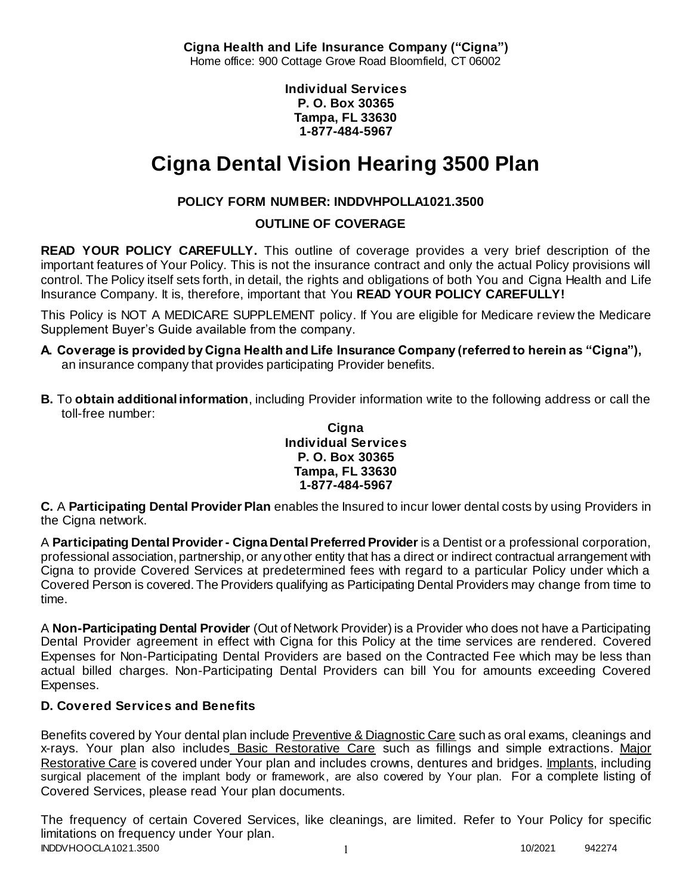**Cigna Health and Life Insurance Company ("Cigna")** Home office: 900 Cottage Grove Road Bloomfield, CT 06002

> **Individual Services P. O. Box 30365 Tampa, FL 33630 1-877-484-5967**

# **Cigna Dental Vision Hearing 3500 Plan**

# **POLICY FORM NUMBER: INDDVHPOLLA1021.3500**

**OUTLINE OF COVERAGE** 

**READ YOUR POLICY CAREFULLY.** This outline of coverage provides a very brief description of the important features of Your Policy. This is not the insurance contract and only the actual Policy provisions will control. The Policy itself sets forth, in detail, the rights and obligations of both You and Cigna Health and Life Insurance Company. It is, therefore, important that You **READ YOUR POLICY CAREFULLY!** 

This Policy is NOT A MEDICARE SUPPLEMENT policy. If You are eligible for Medicare review the Medicare Supplement Buyer's Guide available from the company.

- **A. Coverage is provided by Cigna Health and Life Insurance Company (referred to herein as "Cigna"),**  an insurance company that provides participating Provider benefits.
- **B.** To **obtain additional information**, including Provider information write to the following address or call the toll-free number:

**Cigna Individual Services P. O. Box 30365 Tampa, FL 33630 1-877-484-5967**

**C.** A **Participating Dental Provider Plan** enables the Insured to incur lower dental costs by using Providers in the Cigna network.

A **Participating Dental Provider - Cigna Dental Preferred Provider** is a Dentist or a professional corporation, professional association, partnership, or any other entity that has a direct or indirect contractual arrangement with Cigna to provide Covered Services at predetermined fees with regard to a particular Policy under which a Covered Person is covered. The Providers qualifying as Participating Dental Providers may change from time to time.

A **Non-Participating Dental Provider** (Out of Network Provider) is a Provider who does not have a Participating Dental Provider agreement in effect with Cigna for this Policy at the time services are rendered. Covered Expenses for Non-Participating Dental Providers are based on the Contracted Fee which may be less than actual billed charges. Non-Participating Dental Providers can bill You for amounts exceeding Covered Expenses.

# **D. Covered Services and Benefits**

Benefits covered by Your dental plan include Preventive & Diagnostic Care such as oral exams, cleanings and x-rays. Your plan also includes Basic Restorative Care such as fillings and simple extractions. Major Restorative Care is covered under Your plan and includes crowns, dentures and bridges. Implants, including surgical placement of the implant body or framework, are also covered by Your plan. For a complete listing of Covered Services, please read Your plan documents.

INDDVHOOCLA1021.3500 1 202021 942274 The frequency of certain Covered Services, like cleanings, are limited. Refer to Your Policy for specific limitations on frequency under Your plan.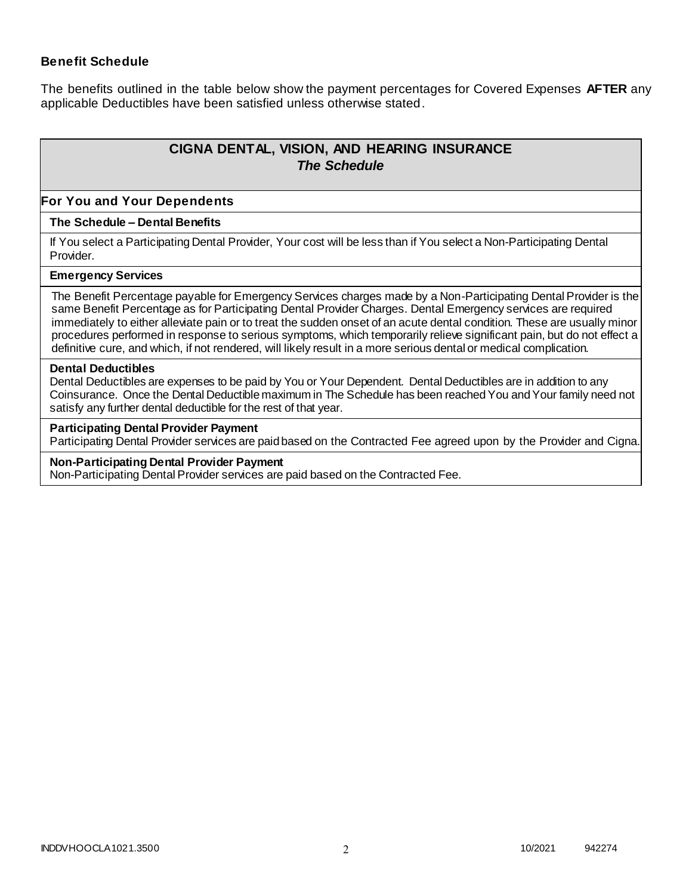### **Benefit Schedule**

The benefits outlined in the table below show the payment percentages for Covered Expenses **AFTER** any applicable Deductibles have been satisfied unless otherwise stated.

# **CIGNA DENTAL, VISION, AND HEARING INSURANCE** *The Schedule*

#### **For You and Your Dependents**

#### **The Schedule – Dental Benefits**

If You select a Participating Dental Provider, Your cost will be less than if You select a Non-Participating Dental Provider.

#### **Emergency Services**

The Benefit Percentage payable for Emergency Services charges made by a Non-Participating Dental Provider is the same Benefit Percentage as for Participating Dental Provider Charges. Dental Emergency services are required immediately to either alleviate pain or to treat the sudden onset of an acute dental condition. These are usually minor procedures performed in response to serious symptoms, which temporarily relieve significant pain, but do not effect a definitive cure, and which, if not rendered, will likely result in a more serious dental or medical complication.

#### **Dental Deductibles**

Dental Deductibles are expenses to be paid by You or Your Dependent. Dental Deductibles are in addition to any Coinsurance. Once the Dental Deductible maximum in The Schedule has been reached You and Your family need not satisfy any further dental deductible for the rest of that year.

#### **Participating Dental Provider Payment**

Participating Dental Provider services are paid based on the Contracted Fee agreed upon by the Provider and Cigna.

#### **Non-Participating Dental Provider Payment**

Non-Participating Dental Provider services are paid based on the Contracted Fee.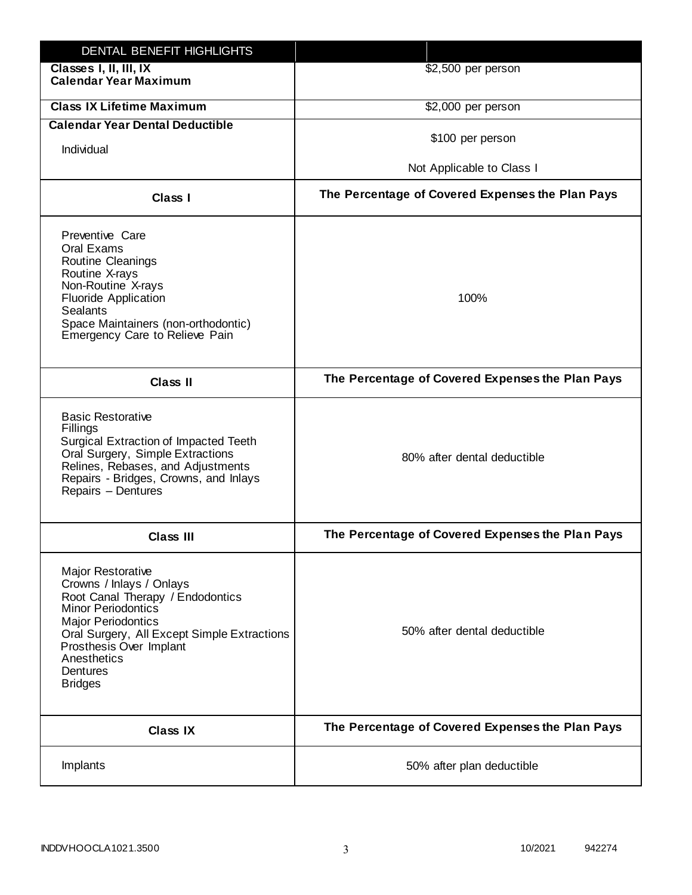| DENTAL BENEFIT HIGHLIGHTS                                                                                                                                                                                                                                                 |                                                  |
|---------------------------------------------------------------------------------------------------------------------------------------------------------------------------------------------------------------------------------------------------------------------------|--------------------------------------------------|
| Classes I, II, III, IX<br><b>Calendar Year Maximum</b>                                                                                                                                                                                                                    | \$2,500 per person                               |
| <b>Class IX Lifetime Maximum</b>                                                                                                                                                                                                                                          | \$2,000 per person                               |
| <b>Calendar Year Dental Deductible</b>                                                                                                                                                                                                                                    |                                                  |
| Individual                                                                                                                                                                                                                                                                | \$100 per person                                 |
|                                                                                                                                                                                                                                                                           | Not Applicable to Class I                        |
| Class I                                                                                                                                                                                                                                                                   | The Percentage of Covered Expenses the Plan Pays |
| Preventive Care<br>Oral Exams<br><b>Routine Cleanings</b><br>Routine X-rays<br>Non-Routine X-rays<br><b>Fluoride Application</b><br><b>Sealants</b><br>Space Maintainers (non-orthodontic)<br>Emergency Care to Relieve Pain                                              | 100%                                             |
| <b>Class II</b>                                                                                                                                                                                                                                                           | The Percentage of Covered Expenses the Plan Pays |
| <b>Basic Restorative</b><br>Fillings<br>Surgical Extraction of Impacted Teeth<br>Oral Surgery, Simple Extractions<br>Relines, Rebases, and Adjustments<br>Repairs - Bridges, Crowns, and Inlays<br>Repairs - Dentures                                                     | 80% after dental deductible                      |
| <b>Class III</b>                                                                                                                                                                                                                                                          | The Percentage of Covered Expenses the Plan Pays |
| <b>Major Restorative</b><br>Crowns / Inlays / Onlays<br>Root Canal Therapy / Endodontics<br><b>Minor Periodontics</b><br><b>Major Periodontics</b><br>Oral Surgery, All Except Simple Extractions<br>Prosthesis Over Implant<br>Anesthetics<br>Dentures<br><b>Bridges</b> | 50% after dental deductible                      |
| <b>Class IX</b>                                                                                                                                                                                                                                                           | The Percentage of Covered Expenses the Plan Pays |
| Implants                                                                                                                                                                                                                                                                  | 50% after plan deductible                        |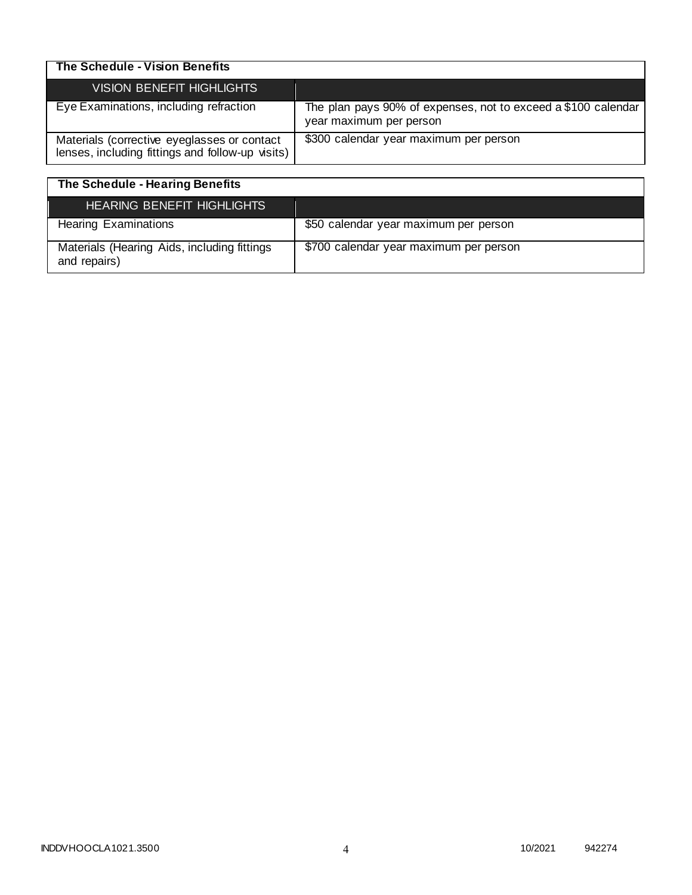| The Schedule - Vision Benefits                                                                  |                                                                                          |
|-------------------------------------------------------------------------------------------------|------------------------------------------------------------------------------------------|
| <b>VISION BENEFIT HIGHLIGHTS</b>                                                                |                                                                                          |
| Eye Examinations, including refraction                                                          | The plan pays 90% of expenses, not to exceed a \$100 calendar<br>year maximum per person |
| Materials (corrective eyeglasses or contact<br>lenses, including fittings and follow-up visits) | \$300 calendar year maximum per person                                                   |

| The Schedule - Hearing Benefits                             |                                        |
|-------------------------------------------------------------|----------------------------------------|
| <b>HEARING BENEFIT HIGHLIGHTS</b>                           |                                        |
| <b>Hearing Examinations</b>                                 | \$50 calendar year maximum per person  |
| Materials (Hearing Aids, including fittings<br>and repairs) | \$700 calendar year maximum per person |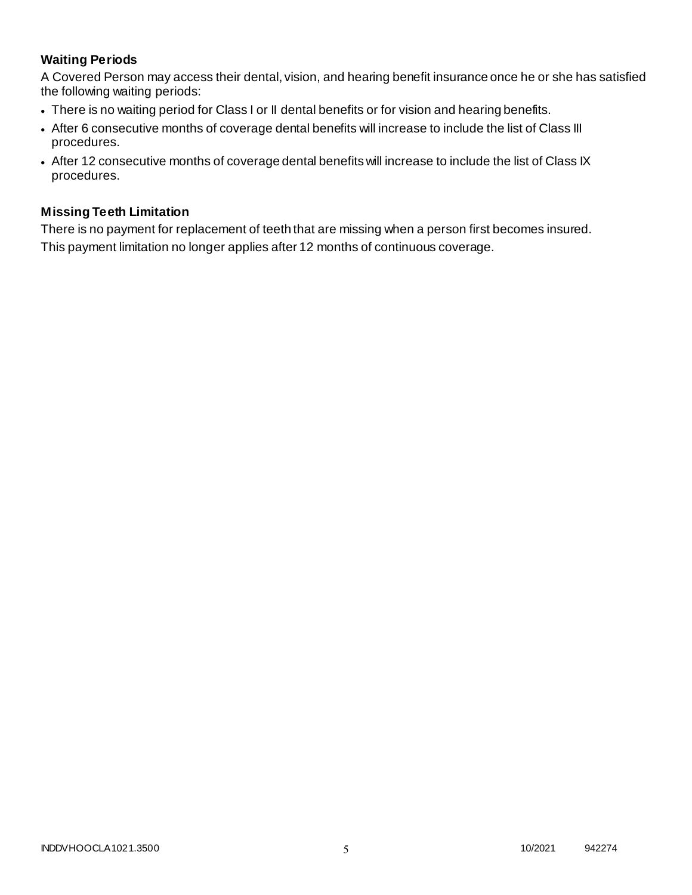# **Waiting Periods**

A Covered Person may access their dental, vision, and hearing benefit insurance once he or she has satisfied the following waiting periods:

- There is no waiting period for Class I or II dental benefits or for vision and hearing benefits.
- After 6 consecutive months of coverage dental benefits will increase to include the list of Class III procedures.
- After 12 consecutive months of coverage dental benefits will increase to include the list of Class IX procedures.

### **Missing Teeth Limitation**

There is no payment for replacement of teeth that are missing when a person first becomes insured. This payment limitation no longer applies after 12 months of continuous coverage.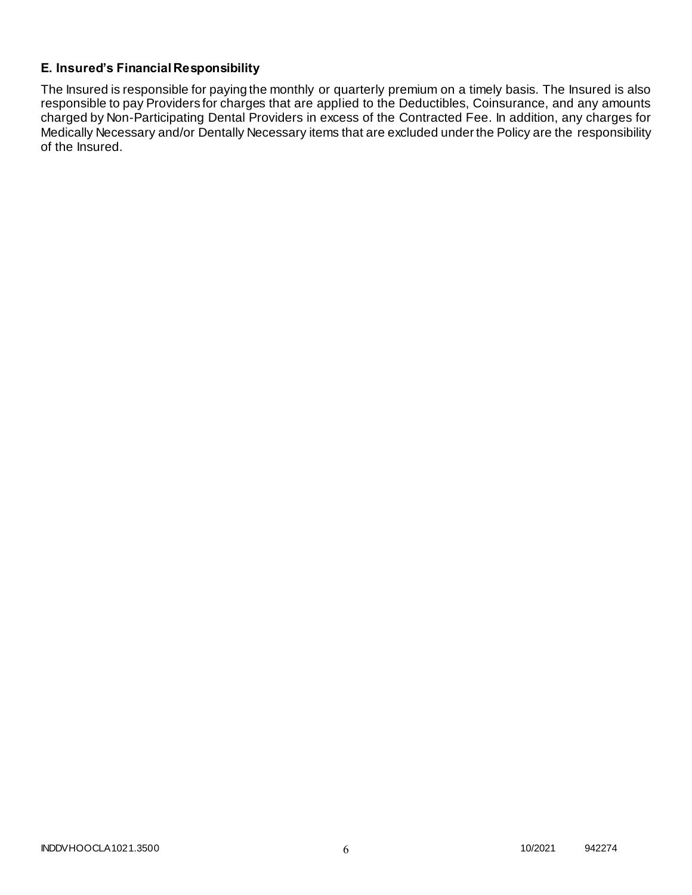## **E. Insured's Financial Responsibility**

The Insured is responsible for paying the monthly or quarterly premium on a timely basis. The Insured is also responsible to pay Providers for charges that are applied to the Deductibles, Coinsurance, and any amounts charged by Non-Participating Dental Providers in excess of the Contracted Fee. In addition, any charges for Medically Necessary and/or Dentally Necessary items that are excluded under the Policy are the responsibility of the Insured.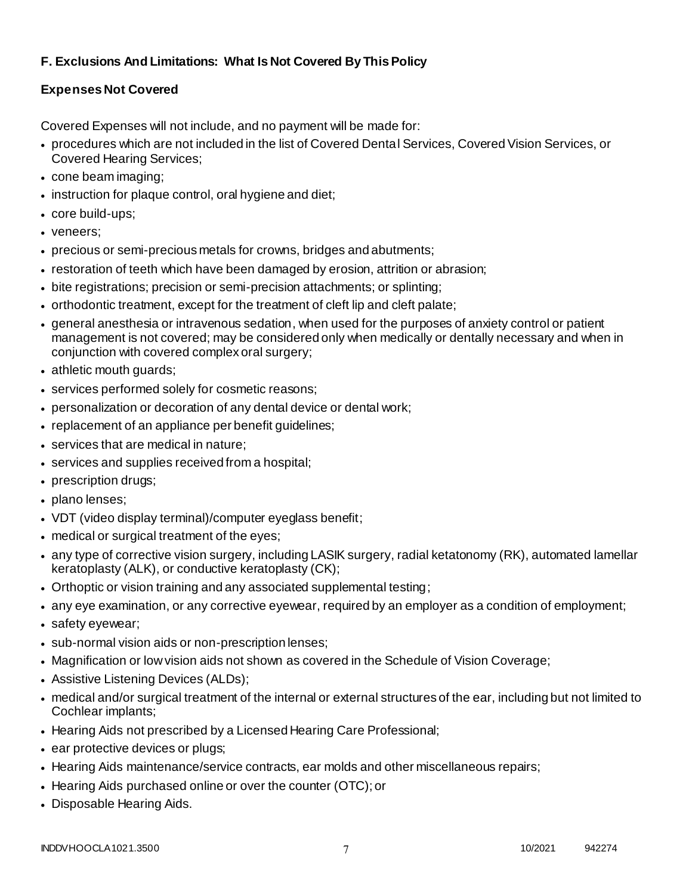# **F. Exclusions And Limitations: What Is Not Covered By This Policy**

# **Expenses Not Covered**

Covered Expenses will not include, and no payment will be made for:

- procedures which are not included in the list of Covered Dental Services, Covered Vision Services, or Covered Hearing Services;
- cone beam imaging;
- instruction for plaque control, oral hygiene and diet;
- core build-ups;
- veneers;
- precious or semi-precious metals for crowns, bridges and abutments;
- restoration of teeth which have been damaged by erosion, attrition or abrasion;
- bite registrations; precision or semi-precision attachments; or splinting;
- orthodontic treatment, except for the treatment of cleft lip and cleft palate;
- general anesthesia or intravenous sedation, when used for the purposes of anxiety control or patient management is not covered; may be considered only when medically or dentally necessary and when in conjunction with covered complex oral surgery;
- athletic mouth guards;
- services performed solely for cosmetic reasons;
- personalization or decoration of any dental device or dental work;
- replacement of an appliance per benefit guidelines;
- services that are medical in nature;
- services and supplies received from a hospital;
- prescription drugs;
- plano lenses;
- VDT (video display terminal)/computer eyeglass benefit;
- medical or surgical treatment of the eyes;
- any type of corrective vision surgery, including LASIK surgery, radial ketatonomy (RK), automated lamellar keratoplasty (ALK), or conductive keratoplasty (CK);
- Orthoptic or vision training and any associated supplemental testing;
- any eye examination, or any corrective eyewear, required by an employer as a condition of employment;
- safety eyewear;
- sub-normal vision aids or non-prescription lenses;
- Magnification or low vision aids not shown as covered in the Schedule of Vision Coverage;
- Assistive Listening Devices (ALDs);
- medical and/or surgical treatment of the internal or external structures of the ear, including but not limited to Cochlear implants;
- Hearing Aids not prescribed by a Licensed Hearing Care Professional;
- ear protective devices or plugs;
- Hearing Aids maintenance/service contracts, ear molds and other miscellaneous repairs;
- Hearing Aids purchased online or over the counter (OTC); or
- Disposable Hearing Aids.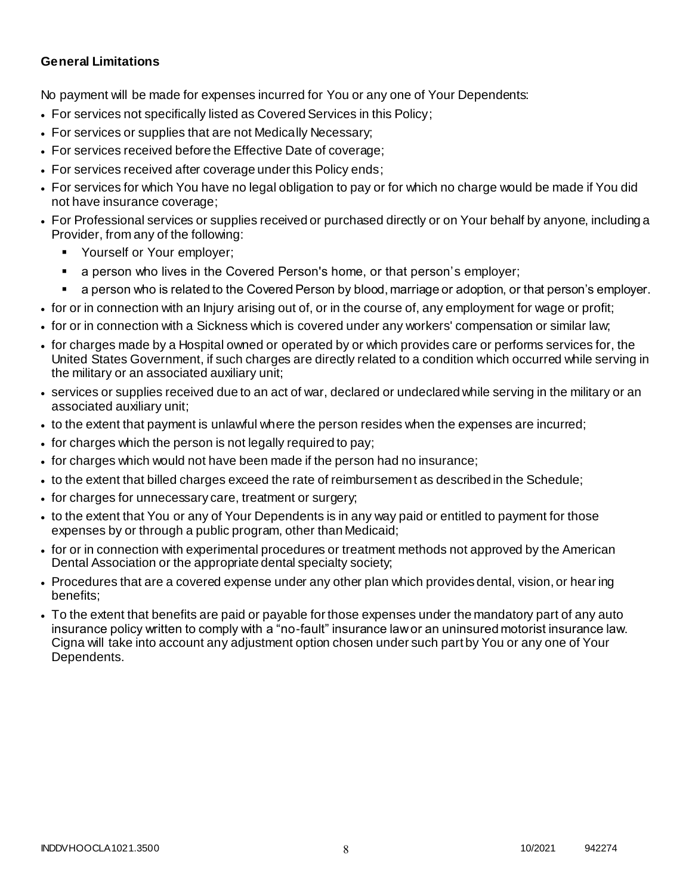### **General Limitations**

No payment will be made for expenses incurred for You or any one of Your Dependents:

- For services not specifically listed as Covered Services in this Policy;
- For services or supplies that are not Medically Necessary;
- For services received before the Effective Date of coverage;
- For services received after coverage under this Policy ends;
- For services for which You have no legal obligation to pay or for which no charge would be made if You did not have insurance coverage;
- For Professional services or supplies received or purchased directly or on Your behalf by anyone, including a Provider, from any of the following:
	- Yourself or Your employer;
	- a person who lives in the Covered Person's home, or that person's employer;
	- a person who is related to the Covered Person by blood, marriage or adoption, or that person's employer.
- for or in connection with an Injury arising out of, or in the course of, any employment for wage or profit;
- for or in connection with a Sickness which is covered under any workers' compensation or similar law;
- for charges made by a Hospital owned or operated by or which provides care or performs services for, the United States Government, if such charges are directly related to a condition which occurred while serving in the military or an associated auxiliary unit;
- services or supplies received due to an act of war, declared or undeclared while serving in the military or an associated auxiliary unit;
- to the extent that payment is unlawful where the person resides when the expenses are incurred;
- for charges which the person is not legally required to pay;
- for charges which would not have been made if the person had no insurance;
- to the extent that billed charges exceed the rate of reimbursement as described in the Schedule;
- for charges for unnecessary care, treatment or surgery;
- to the extent that You or any of Your Dependents is in any way paid or entitled to payment for those expenses by or through a public program, other than Medicaid;
- for or in connection with experimental procedures or treatment methods not approved by the American Dental Association or the appropriate dental specialty society;
- Procedures that are a covered expense under any other plan which provides dental, vision, or hearing benefits;
- To the extent that benefits are paid or payable for those expenses under the mandatory part of any auto insurance policy written to comply with a "no-fault" insurance law or an uninsured motorist insurance law. Cigna will take into account any adjustment option chosen under such part by You or any one of Your Dependents.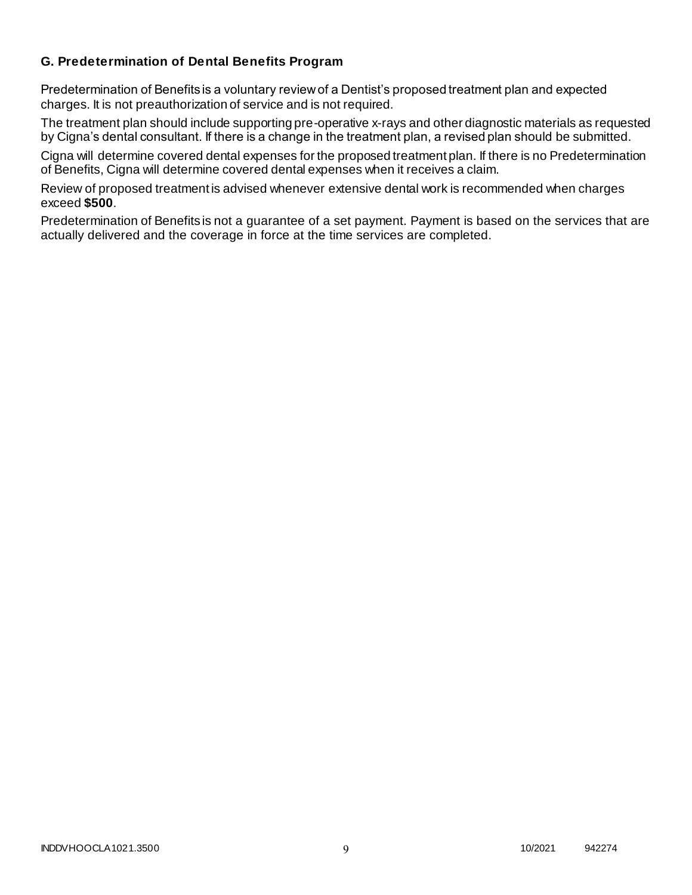### **G. Predetermination of Dental Benefits Program**

Predetermination of Benefits is a voluntary review of a Dentist's proposed treatment plan and expected charges. It is not preauthorization of service and is not required.

The treatment plan should include supporting pre-operative x-rays and other diagnostic materials as requested by Cigna's dental consultant. If there is a change in the treatment plan, a revised plan should be submitted.

Cigna will determine covered dental expenses for the proposed treatment plan. If there is no Predetermination of Benefits, Cigna will determine covered dental expenses when it receives a claim.

Review of proposed treatment is advised whenever extensive dental work is recommended when charges exceed **\$500**.

Predetermination of Benefits is not a guarantee of a set payment. Payment is based on the services that are actually delivered and the coverage in force at the time services are completed.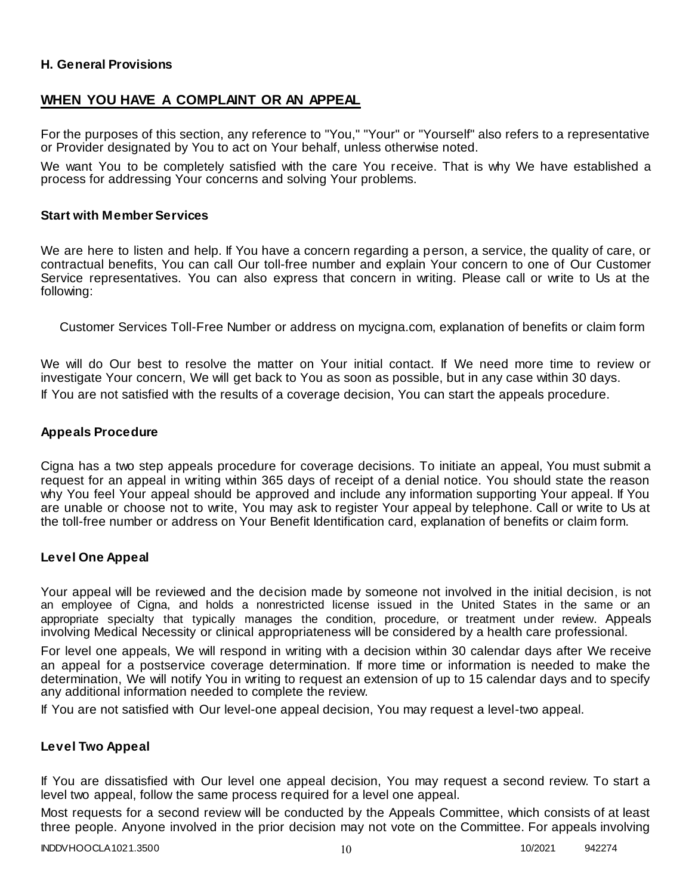### **H. General Provisions**

## **WHEN YOU HAVE A COMPLAINT OR AN APPEAL**

For the purposes of this section, any reference to "You," "Your" or "Yourself" also refers to a representative or Provider designated by You to act on Your behalf, unless otherwise noted.

We want You to be completely satisfied with the care You receive. That is why We have established a process for addressing Your concerns and solving Your problems.

#### **Start with Member Services**

We are here to listen and help. If You have a concern regarding a person, a service, the quality of care, or contractual benefits, You can call Our toll-free number and explain Your concern to one of Our Customer Service representatives. You can also express that concern in writing. Please call or write to Us at the following:

Customer Services Toll-Free Number or address on mycigna.com, explanation of benefits or claim form

We will do Our best to resolve the matter on Your initial contact. If We need more time to review or investigate Your concern, We will get back to You as soon as possible, but in any case within 30 days. If You are not satisfied with the results of a coverage decision, You can start the appeals procedure.

#### **Appeals Procedure**

Cigna has a two step appeals procedure for coverage decisions. To initiate an appeal, You must submit a request for an appeal in writing within 365 days of receipt of a denial notice. You should state the reason why You feel Your appeal should be approved and include any information supporting Your appeal. If You are unable or choose not to write, You may ask to register Your appeal by telephone. Call or write to Us at the toll-free number or address on Your Benefit Identification card, explanation of benefits or claim form.

#### **Level One Appeal**

Your appeal will be reviewed and the decision made by someone not involved in the initial decision, is not an employee of Cigna, and holds a nonrestricted license issued in the United States in the same or an appropriate specialty that typically manages the condition, procedure, or treatment under review. Appeals involving Medical Necessity or clinical appropriateness will be considered by a health care professional.

For level one appeals, We will respond in writing with a decision within 30 calendar days after We receive an appeal for a postservice coverage determination. If more time or information is needed to make the determination, We will notify You in writing to request an extension of up to 15 calendar days and to specify any additional information needed to complete the review.

If You are not satisfied with Our level-one appeal decision, You may request a level-two appeal.

#### **Level Two Appeal**

If You are dissatisfied with Our level one appeal decision, You may request a second review. To start a level two appeal, follow the same process required for a level one appeal.

Most requests for a second review will be conducted by the Appeals Committee, which consists of at least three people. Anyone involved in the prior decision may not vote on the Committee. For appeals involving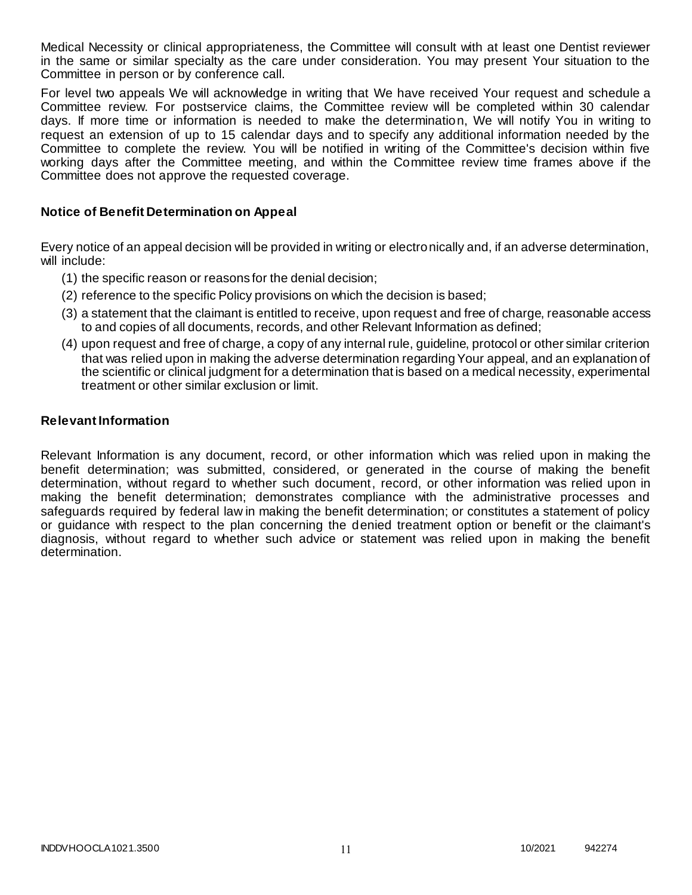Medical Necessity or clinical appropriateness, the Committee will consult with at least one Dentist reviewer in the same or similar specialty as the care under consideration. You may present Your situation to the Committee in person or by conference call.

For level two appeals We will acknowledge in writing that We have received Your request and schedule a Committee review. For postservice claims, the Committee review will be completed within 30 calendar days. If more time or information is needed to make the determination, We will notify You in writing to request an extension of up to 15 calendar days and to specify any additional information needed by the Committee to complete the review. You will be notified in writing of the Committee's decision within five working days after the Committee meeting, and within the Committee review time frames above if the Committee does not approve the requested coverage.

### **Notice of Benefit Determination on Appeal**

Every notice of an appeal decision will be provided in writing or electronically and, if an adverse determination, will include:

- (1) the specific reason or reasons for the denial decision;
- (2) reference to the specific Policy provisions on which the decision is based;
- (3) a statement that the claimant is entitled to receive, upon request and free of charge, reasonable access to and copies of all documents, records, and other Relevant Information as defined;
- (4) upon request and free of charge, a copy of any internal rule, guideline, protocol or other similar criterion that was relied upon in making the adverse determination regarding Your appeal, and an explanation of the scientific or clinical judgment for a determination that is based on a medical necessity, experimental treatment or other similar exclusion or limit.

#### **Relevant Information**

Relevant Information is any document, record, or other information which was relied upon in making the benefit determination; was submitted, considered, or generated in the course of making the benefit determination, without regard to whether such document, record, or other information was relied upon in making the benefit determination; demonstrates compliance with the administrative processes and safeguards required by federal law in making the benefit determination; or constitutes a statement of policy or guidance with respect to the plan concerning the denied treatment option or benefit or the claimant's diagnosis, without regard to whether such advice or statement was relied upon in making the benefit determination.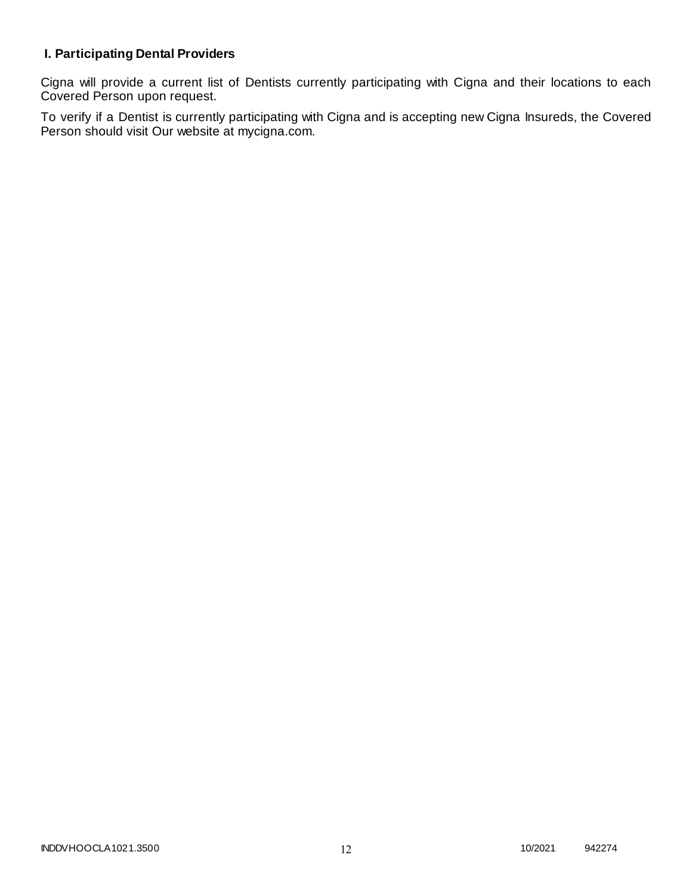# **I. Participating Dental Providers**

Cigna will provide a current list of Dentists currently participating with Cigna and their locations to each Covered Person upon request.

To verify if a Dentist is currently participating with Cigna and is accepting new Cigna Insureds, the Covered Person should visit Our website at mycigna.com.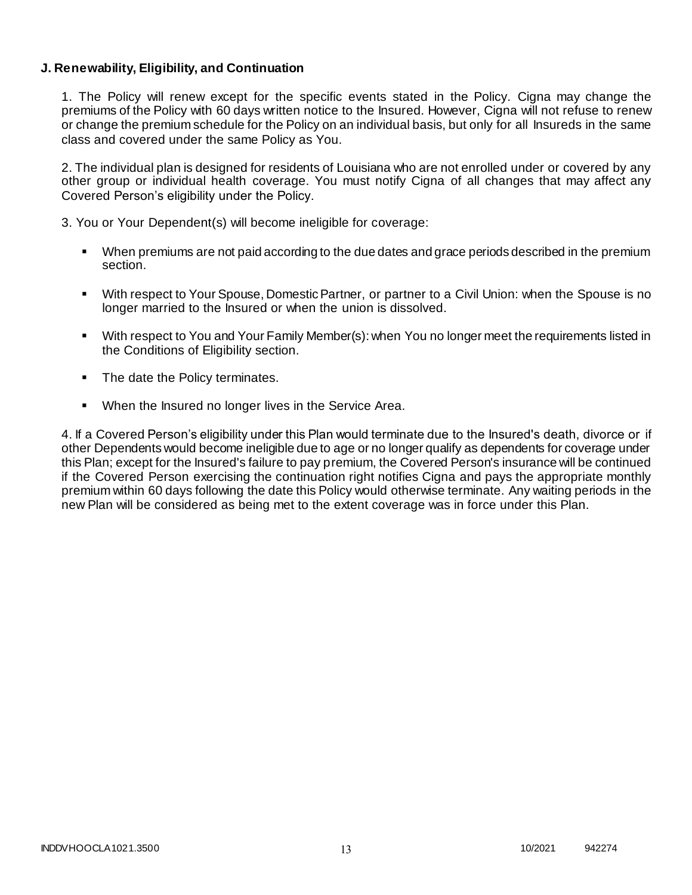### **J. Renewability, Eligibility, and Continuation**

1. The Policy will renew except for the specific events stated in the Policy. Cigna may change the premiums of the Policy with 60 days written notice to the Insured. However, Cigna will not refuse to renew or change the premium schedule for the Policy on an individual basis, but only for all Insureds in the same class and covered under the same Policy as You.

2. The individual plan is designed for residents of Louisiana who are not enrolled under or covered by any other group or individual health coverage. You must notify Cigna of all changes that may affect any Covered Person's eligibility under the Policy.

3. You or Your Dependent(s) will become ineligible for coverage:

- When premiums are not paid according to the due dates and grace periods described in the premium section.
- With respect to Your Spouse, Domestic Partner, or partner to a Civil Union: when the Spouse is no longer married to the Insured or when the union is dissolved.
- With respect to You and Your Family Member(s): when You no longer meet the requirements listed in the Conditions of Eligibility section.
- The date the Policy terminates.
- When the Insured no longer lives in the Service Area.

4. If a Covered Person's eligibility under this Plan would terminate due to the Insured's death, divorce or if other Dependents would become ineligible due to age or no longer qualify as dependents for coverage under this Plan; except for the Insured's failure to pay premium, the Covered Person's insurance will be continued if the Covered Person exercising the continuation right notifies Cigna and pays the appropriate monthly premium within 60 days following the date this Policy would otherwise terminate. Any waiting periods in the new Plan will be considered as being met to the extent coverage was in force under this Plan.